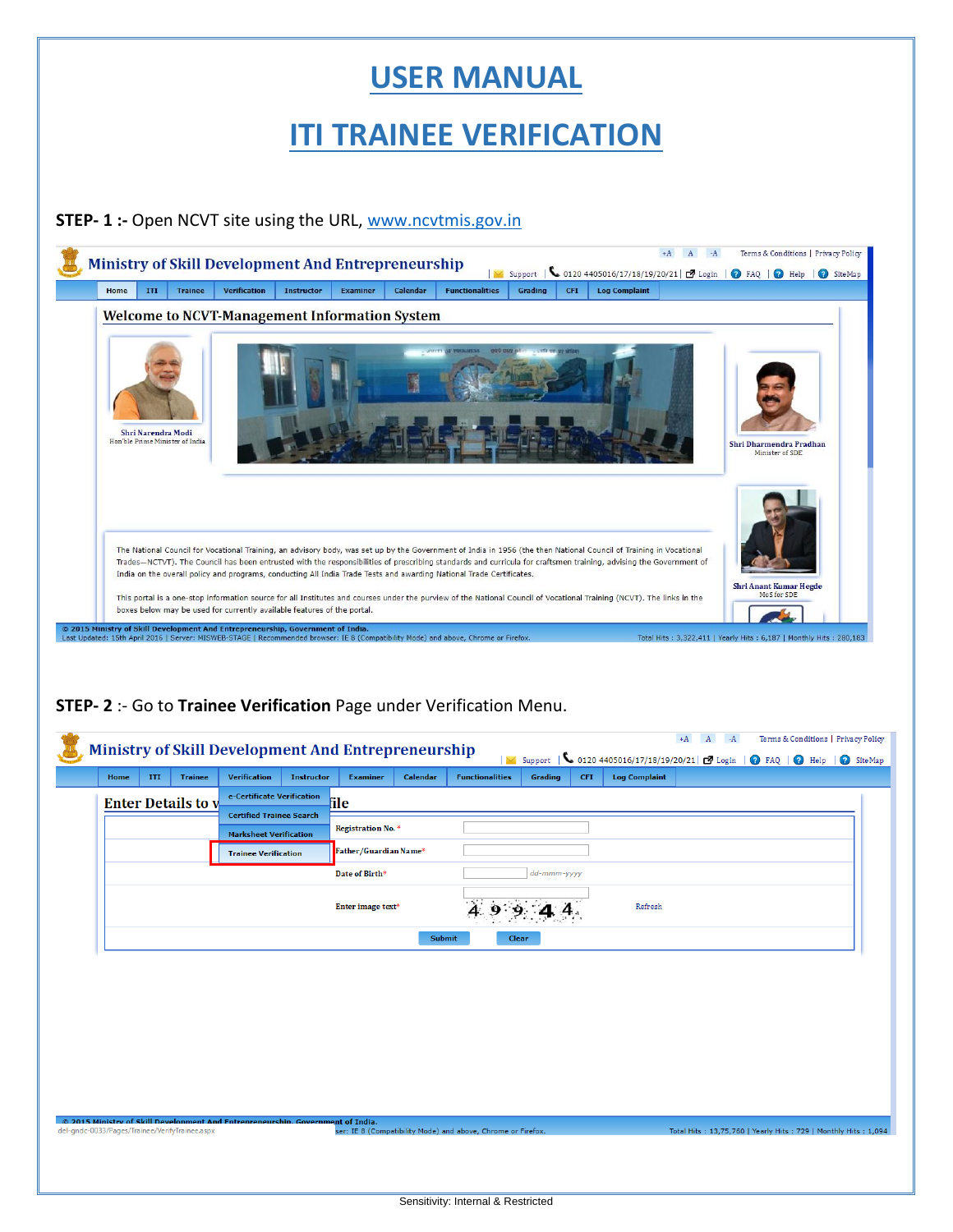## **USER MANUAL**

# **ITI TRAINEE VERIFICATION**

#### **STEP- 1 :-** Open NCVT site using the URL, [www.ncvtmis.gov.in](http://www.ncvtmis.gov.in/)



## **STEP- 2** :- Go to **Trainee Verification** Page under Verification Menu.

**Co. 2015 Ministry of Skill Development A**<br>del-gndc-0033/Pages/Trainee/VerifyTrainee.asp

|      |     |                           | <b>Ministry of Skill Development And Entrepreneurship</b> |                   |                       |               | $\overline{\vee}$      |             |            |                      | $+A$ | $A \t -A$ | Terms & Conditions   Privacy Policy<br>Support   6 0120 4405016/17/18/19/20/21   2 Login   2 FAQ   2 Help   2 SiteMap |  |
|------|-----|---------------------------|-----------------------------------------------------------|-------------------|-----------------------|---------------|------------------------|-------------|------------|----------------------|------|-----------|-----------------------------------------------------------------------------------------------------------------------|--|
| Home | III | <b>Trainee</b>            | <b>Verification</b>                                       | <b>Instructor</b> | <b>Examiner</b>       | Calendar      | <b>Functionalities</b> | Grading     | <b>CFI</b> | <b>Log Complaint</b> |      |           |                                                                                                                       |  |
|      |     | <b>Enter Details to v</b> | e-Certificate Verification                                |                   | <b>file</b>           |               |                        |             |            |                      |      |           |                                                                                                                       |  |
|      |     |                           | <b>Certified Trainee Search</b>                           |                   |                       |               |                        |             |            |                      |      |           |                                                                                                                       |  |
|      |     |                           | <b>Marksheet Verification</b>                             |                   | Registration No. *    |               |                        |             |            |                      |      |           |                                                                                                                       |  |
|      |     |                           | <b>Trainee Verification</b>                               |                   | Father/Guardian Name* |               |                        |             |            |                      |      |           |                                                                                                                       |  |
|      |     |                           |                                                           |                   | Date of Birth*        |               |                        | dd-mmm-yyyy |            |                      |      |           |                                                                                                                       |  |
|      |     |                           |                                                           |                   | Enter image text*     |               |                        |             |            | Refresh              |      |           |                                                                                                                       |  |
|      |     |                           |                                                           |                   |                       | <b>Submit</b> | <b>Clear</b>           |             |            |                      |      |           |                                                                                                                       |  |
|      |     |                           |                                                           |                   |                       |               |                        |             |            |                      |      |           |                                                                                                                       |  |

nt of India.<br>ser: IE 8 (Compatibility Mode) and above, Chrome or Firefox

Total Hits: 13,75,760 | Yearly Hits: 729 | Monthly Hits: 1,094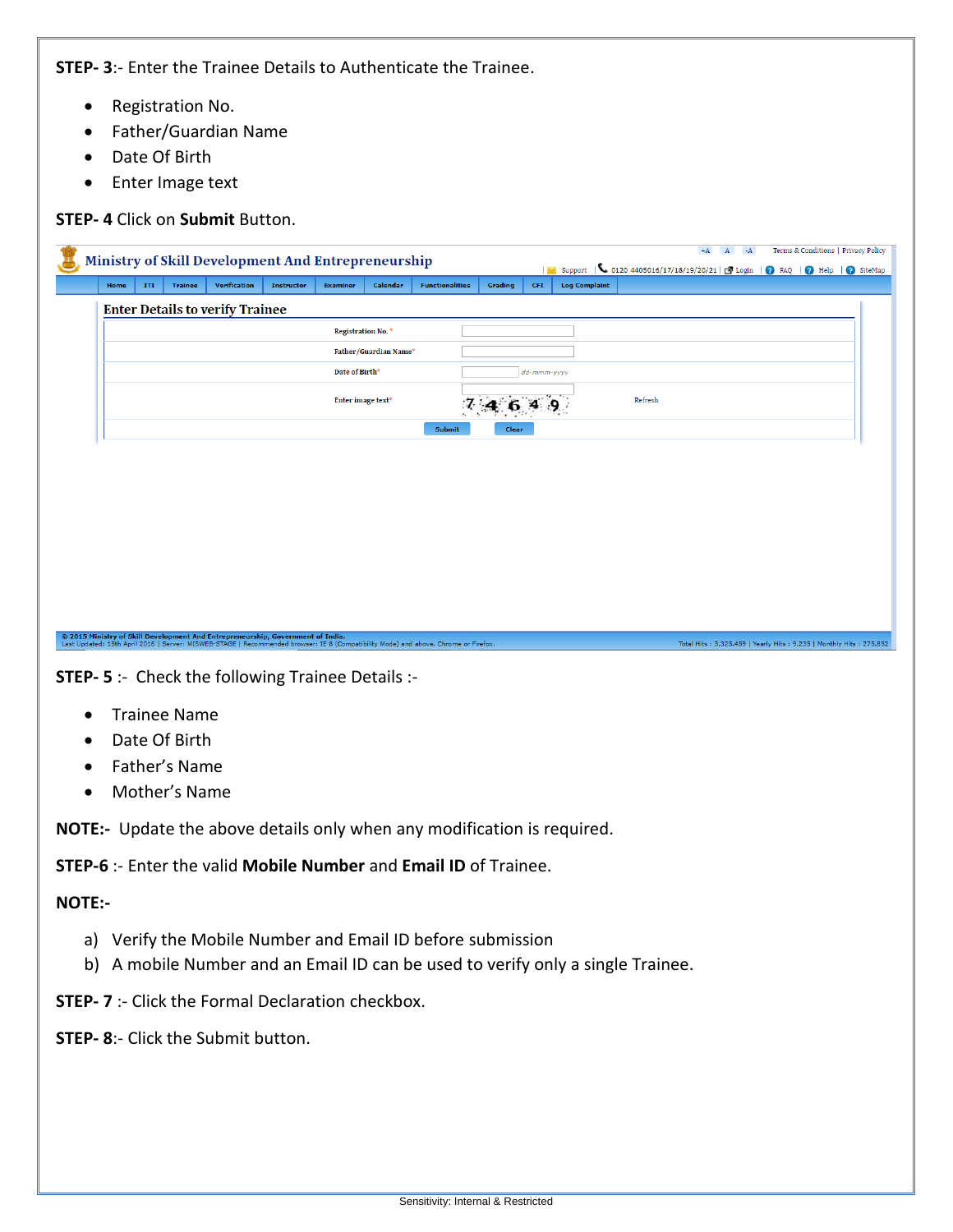**STEP- 3**:- Enter the Trainee Details to Authenticate the Trainee.

- Registration No.
- Father/Guardian Name
- Date Of Birth
- Enter Image text

#### **STEP- 4** Click on **Submit** Button.

|                                        |     |                | <b>Ministry of Skill Development And Entrepreneurship</b> |                   |                               |          | Support   0120 4405016/17/18/19/20/21   2 Login   0 FAQ   0 Help   0 SiteMap |         |             | $+A$ $A$ $-A$        |         | Terms & Conditions   Privacy Policy |  |  |  |  |
|----------------------------------------|-----|----------------|-----------------------------------------------------------|-------------------|-------------------------------|----------|------------------------------------------------------------------------------|---------|-------------|----------------------|---------|-------------------------------------|--|--|--|--|
| Home                                   | ITI | <b>Trainee</b> | Verification                                              | <b>Instructor</b> | <b>Examiner</b>               | Calendar | <b>Functionalities</b>                                                       | Grading | <b>CFI</b>  | <b>Log Complaint</b> |         |                                     |  |  |  |  |
| <b>Enter Details to verify Trainee</b> |     |                |                                                           |                   |                               |          |                                                                              |         |             |                      |         |                                     |  |  |  |  |
|                                        |     |                |                                                           |                   | Registration No. <sup>*</sup> |          |                                                                              |         |             |                      |         |                                     |  |  |  |  |
| Father/Guardian Name*                  |     |                |                                                           |                   |                               |          |                                                                              |         |             |                      |         |                                     |  |  |  |  |
|                                        |     |                |                                                           |                   | Date of Birth <sup>*</sup>    |          |                                                                              |         | dd-mmm-yyyy |                      |         |                                     |  |  |  |  |
|                                        |     |                |                                                           |                   | Enter image text*             |          |                                                                              |         |             |                      | Refresh |                                     |  |  |  |  |
|                                        |     |                |                                                           |                   |                               |          | Submit                                                                       | Clear   |             |                      |         |                                     |  |  |  |  |

Total Hits : 3,325,459 | Yearly Hits : 9,235 | Monthly Hits : 275,852

**STEP- 5** :- Check the following Trainee Details :-

© 2015 Ministry of Skill Development And Entrepreneurship, Government of India.<br>Last Updated: 15th April 2016 | Server: MISWEB-STAGE | Recommended browser: IE 8 (Compatibility Mode) and above, Chrome or Firefox.

- Trainee Name
- Date Of Birth
- Father's Name
- Mother's Name

**NOTE:-** Update the above details only when any modification is required.

**STEP-6** :- Enter the valid **Mobile Number** and **Email ID** of Trainee.

### **NOTE:-**

- a) Verify the Mobile Number and Email ID before submission
- b) A mobile Number and an Email ID can be used to verify only a single Trainee.
- **STEP- 7** :- Click the Formal Declaration checkbox.
- **STEP- 8**:- Click the Submit button.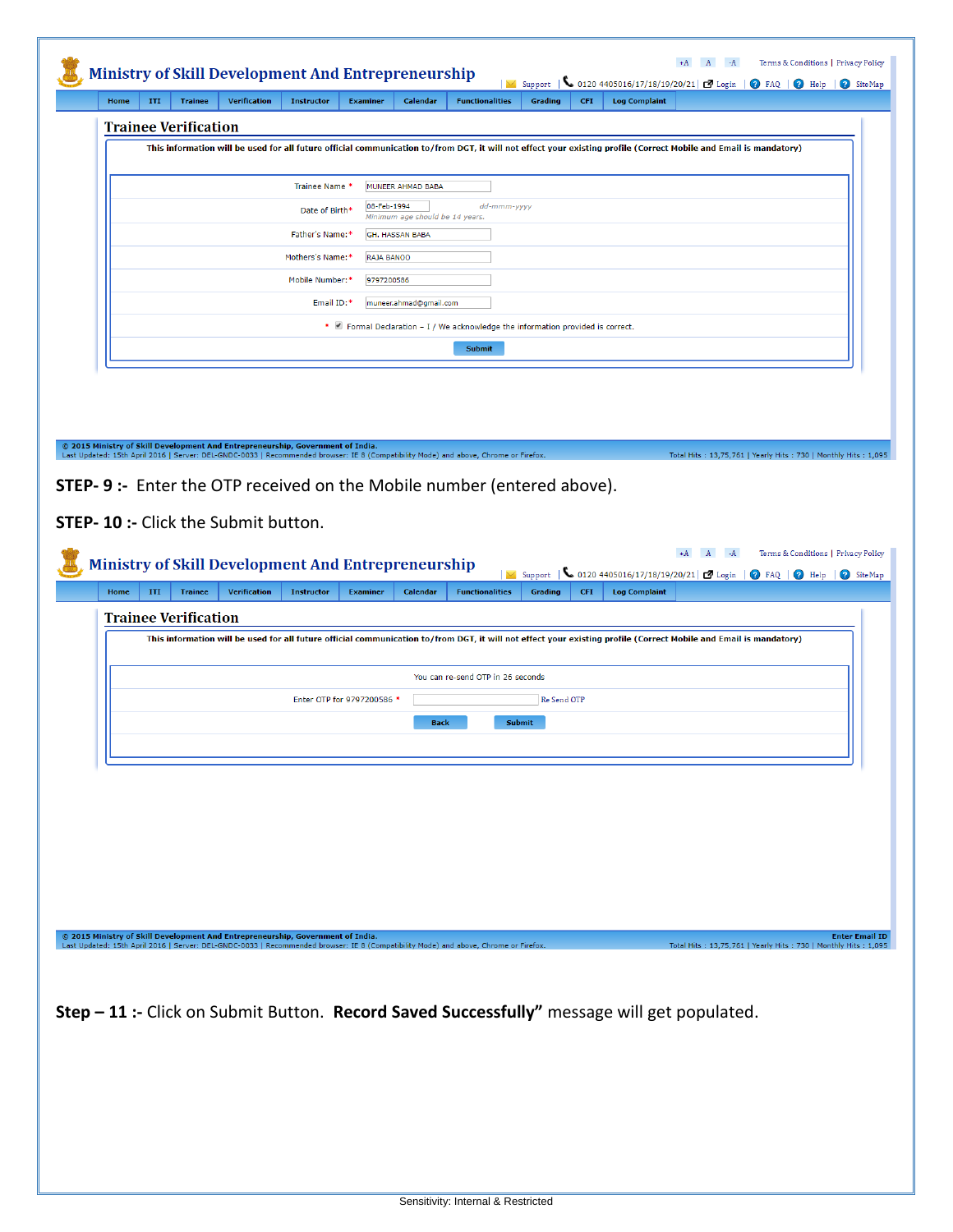| ITI<br>Home                                                                                                                                    | <b>Trainee</b> | Verification        | <b>Instructor</b>                | <b>Examiner</b>            | Calendar                                           | <b>Functionalities</b>                                                                                                                                            | Support<br>Grading | <b>CFI</b> | <b>Log Complaint</b> |                           | 0120 4405016/17/18/19/20/21 <b>3</b> Login   <b>0</b> FAQ   <b>0</b> Help   <b>0</b> SiteMap                          |
|------------------------------------------------------------------------------------------------------------------------------------------------|----------------|---------------------|----------------------------------|----------------------------|----------------------------------------------------|-------------------------------------------------------------------------------------------------------------------------------------------------------------------|--------------------|------------|----------------------|---------------------------|-----------------------------------------------------------------------------------------------------------------------|
| <b>Trainee Verification</b>                                                                                                                    |                |                     |                                  |                            |                                                    |                                                                                                                                                                   |                    |            |                      |                           |                                                                                                                       |
|                                                                                                                                                |                |                     |                                  |                            |                                                    | This information will be used for all future official communication to/from DGT, it will not effect your existing profile (Correct Mobile and Email is mandatory) |                    |            |                      |                           |                                                                                                                       |
|                                                                                                                                                |                |                     |                                  |                            |                                                    |                                                                                                                                                                   |                    |            |                      |                           |                                                                                                                       |
|                                                                                                                                                |                |                     | Trainee Name *<br>Date of Birth* | 08-Feb-1994                | MUNEER AHMAD BABA                                  | dd-mmm-yyyy                                                                                                                                                       |                    |            |                      |                           |                                                                                                                       |
|                                                                                                                                                |                |                     | Father's Name:*                  |                            | Minimum age should be 14 years.<br>GH. HASSAN BABA |                                                                                                                                                                   |                    |            |                      |                           |                                                                                                                       |
|                                                                                                                                                |                |                     | Mothers's Name:*                 | RAJA BANOO                 |                                                    |                                                                                                                                                                   |                    |            |                      |                           |                                                                                                                       |
|                                                                                                                                                |                |                     | Mobile Number:*                  | 9797200586                 |                                                    |                                                                                                                                                                   |                    |            |                      |                           |                                                                                                                       |
|                                                                                                                                                |                |                     | Email ID:*                       |                            | muneer.ahmad@gmail.com                             |                                                                                                                                                                   |                    |            |                      |                           |                                                                                                                       |
|                                                                                                                                                |                |                     |                                  |                            |                                                    | * Ø Formal Declaration - I / We acknowledge the information provided is correct.                                                                                  |                    |            |                      |                           |                                                                                                                       |
|                                                                                                                                                |                |                     |                                  |                            |                                                    | Submit                                                                                                                                                            |                    |            |                      |                           |                                                                                                                       |
|                                                                                                                                                |                |                     |                                  |                            |                                                    |                                                                                                                                                                   |                    |            |                      |                           |                                                                                                                       |
|                                                                                                                                                |                |                     |                                  |                            |                                                    |                                                                                                                                                                   |                    |            |                      |                           |                                                                                                                       |
|                                                                                                                                                |                |                     |                                  |                            |                                                    |                                                                                                                                                                   |                    |            |                      |                           |                                                                                                                       |
| © 2015 Ministry of Skill Development And Entrepreneurship, Government of India.                                                                |                |                     |                                  |                            |                                                    |                                                                                                                                                                   |                    |            |                      |                           |                                                                                                                       |
|                                                                                                                                                |                |                     |                                  |                            |                                                    | Last Updated: 15th April 2016   Server: DEL-GNDC-0033   Recommended browser: IE 8 (Compatibility Mode) and above, Chrome or Firefox.                              |                    |            |                      |                           | Total Hits: 13,75,761   Yearly Hits: 730   Monthly Hits: 1,095                                                        |
|                                                                                                                                                |                |                     |                                  |                            |                                                    |                                                                                                                                                                   |                    |            |                      |                           |                                                                                                                       |
|                                                                                                                                                |                |                     |                                  |                            |                                                    |                                                                                                                                                                   |                    |            |                      |                           |                                                                                                                       |
|                                                                                                                                                |                |                     |                                  |                            |                                                    | <b>STEP-9:-</b> Enter the OTP received on the Mobile number (entered above).                                                                                      |                    |            |                      |                           |                                                                                                                       |
|                                                                                                                                                |                |                     |                                  |                            |                                                    |                                                                                                                                                                   |                    |            |                      |                           |                                                                                                                       |
|                                                                                                                                                |                |                     |                                  |                            |                                                    |                                                                                                                                                                   |                    |            |                      |                           |                                                                                                                       |
|                                                                                                                                                |                |                     |                                  |                            |                                                    |                                                                                                                                                                   |                    |            |                      |                           |                                                                                                                       |
|                                                                                                                                                |                |                     |                                  |                            |                                                    |                                                                                                                                                                   |                    |            |                      | $+A$<br>$A \rightarrow A$ |                                                                                                                       |
|                                                                                                                                                |                |                     |                                  |                            |                                                    |                                                                                                                                                                   |                    |            |                      |                           | Terms & Conditions   Privacy Policy<br>Support   0 0120 4405016/17/18/19/20/21   2 Login   0 FAQ   0 Help   0 SiteMap |
| ITI                                                                                                                                            | <b>Trainee</b> | <b>Verification</b> | <b>Instructor</b>                | <b>Examiner</b>            | Calendar                                           | <b>Functionalities</b>                                                                                                                                            | Grading            | <b>CFI</b> | <b>Log Complaint</b> |                           |                                                                                                                       |
|                                                                                                                                                |                |                     |                                  |                            |                                                    |                                                                                                                                                                   |                    |            |                      |                           |                                                                                                                       |
|                                                                                                                                                |                |                     |                                  |                            |                                                    | This information will be used for all future official communication to/from DGT, it will not effect your existing profile (Correct Mobile and Email is mandatory) |                    |            |                      |                           |                                                                                                                       |
|                                                                                                                                                |                |                     |                                  |                            |                                                    | You can re-send OTP in 26 seconds                                                                                                                                 |                    |            |                      |                           |                                                                                                                       |
|                                                                                                                                                |                |                     |                                  | Enter OTP for 9797200586 * |                                                    |                                                                                                                                                                   | Re Send OTP        |            |                      |                           |                                                                                                                       |
|                                                                                                                                                |                |                     |                                  |                            |                                                    |                                                                                                                                                                   |                    |            |                      |                           |                                                                                                                       |
| <b>STEP-10 :- Click the Submit button.</b><br><b>Ministry of Skill Development And Entrepreneurship</b><br>Home<br><b>Trainee Verification</b> |                |                     |                                  |                            | <b>Back</b>                                        |                                                                                                                                                                   | <b>Submit</b>      |            |                      |                           |                                                                                                                       |
|                                                                                                                                                |                |                     |                                  |                            |                                                    |                                                                                                                                                                   |                    |            |                      |                           |                                                                                                                       |
|                                                                                                                                                |                |                     |                                  |                            |                                                    |                                                                                                                                                                   |                    |            |                      |                           |                                                                                                                       |
|                                                                                                                                                |                |                     |                                  |                            |                                                    |                                                                                                                                                                   |                    |            |                      |                           |                                                                                                                       |
|                                                                                                                                                |                |                     |                                  |                            |                                                    |                                                                                                                                                                   |                    |            |                      |                           |                                                                                                                       |
|                                                                                                                                                |                |                     |                                  |                            |                                                    |                                                                                                                                                                   |                    |            |                      |                           |                                                                                                                       |
|                                                                                                                                                |                |                     |                                  |                            |                                                    |                                                                                                                                                                   |                    |            |                      |                           |                                                                                                                       |
|                                                                                                                                                |                |                     |                                  |                            |                                                    |                                                                                                                                                                   |                    |            |                      |                           |                                                                                                                       |
|                                                                                                                                                |                |                     |                                  |                            |                                                    |                                                                                                                                                                   |                    |            |                      |                           |                                                                                                                       |
|                                                                                                                                                |                |                     |                                  |                            |                                                    |                                                                                                                                                                   |                    |            |                      |                           |                                                                                                                       |
|                                                                                                                                                |                |                     |                                  |                            |                                                    |                                                                                                                                                                   |                    |            |                      |                           |                                                                                                                       |
| © 2015 Ministry of Skill Development And Entrepreneurship, Government of India.                                                                |                |                     |                                  |                            |                                                    | Last Updated: 15th April 2016   Server: DEL-GNDC-0033   Recommended browser: IE 8 (Compatibility Mode) and above, Chrome or Firefox.                              |                    |            |                      |                           | Total Hits: 13,75,761   Yearly Hits: 730   Monthly Hits: 1,095                                                        |